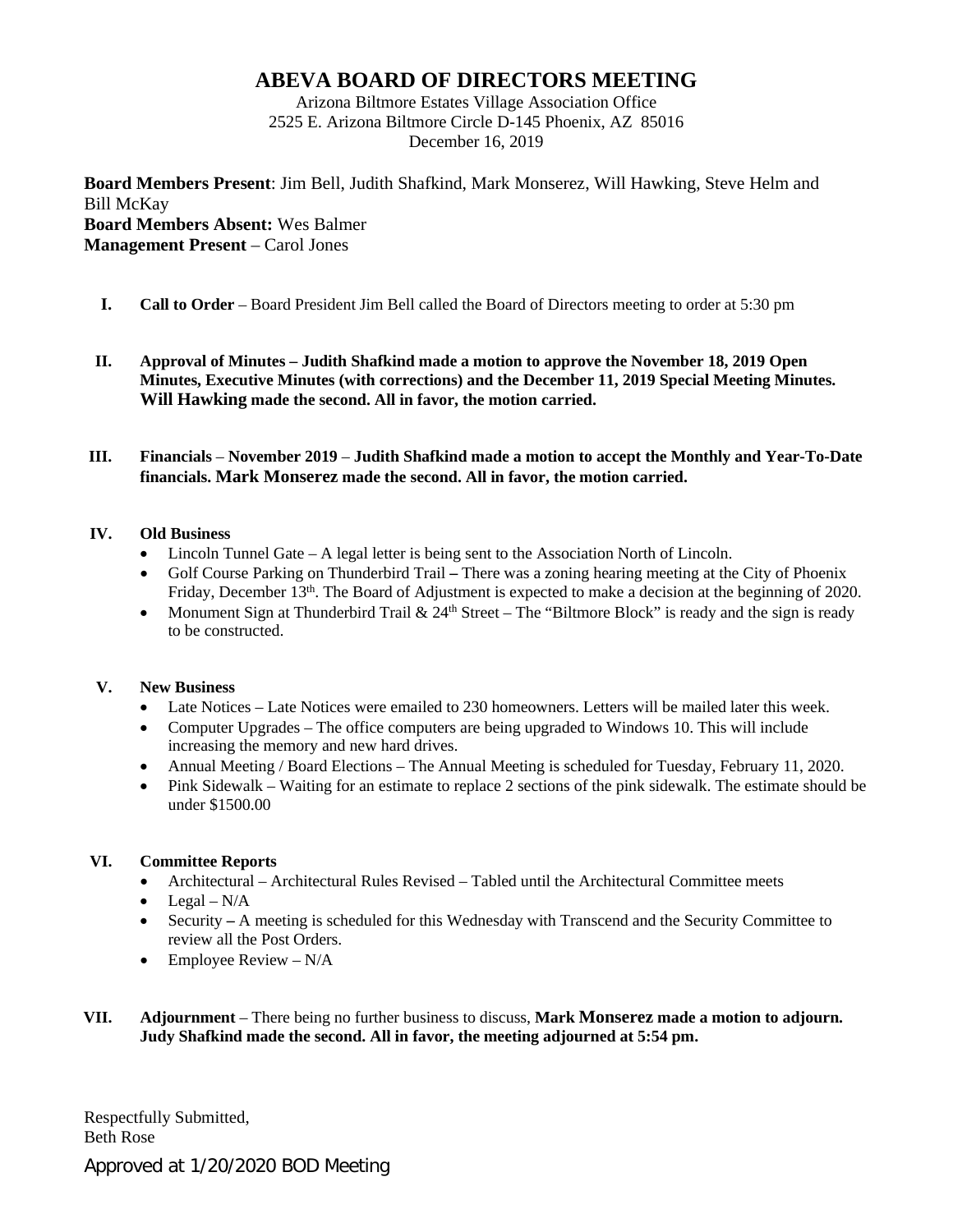## **ABEVA BOARD OF DIRECTORS MEETING**

Arizona Biltmore Estates Village Association Office 2525 E. Arizona Biltmore Circle D-145 Phoenix, AZ 85016 December 16, 2019

**Board Members Present**: Jim Bell, Judith Shafkind, Mark Monserez, Will Hawking, Steve Helm and Bill McKay **Board Members Absent:** Wes Balmer **Management Present** – Carol Jones

- **I. Call to Order** Board President Jim Bell called the Board of Directors meeting to order at 5:30 pm
- **II. Approval of Minutes – Judith Shafkind made a motion to approve the November 18, 2019 Open Minutes, Executive Minutes (with corrections) and the December 11, 2019 Special Meeting Minutes. Will Hawking made the second. All in favor, the motion carried.**
- **III. Financials November 2019 Judith Shafkind made a motion to accept the Monthly and Year-To-Date financials. Mark Monserez made the second. All in favor, the motion carried.**

## **IV. Old Business**

- Lincoln Tunnel Gate A legal letter is being sent to the Association North of Lincoln.
- Golf Course Parking on Thunderbird Trail **–** There was a zoning hearing meeting at the City of Phoenix Friday, December 13<sup>th</sup>. The Board of Adjustment is expected to make a decision at the beginning of 2020.
- Monument Sign at Thunderbird Trail  $\& 24<sup>th</sup> Street The "Biltmore Block" is ready and the sign is ready$ to be constructed.

## **V. New Business**

- Late Notices Late Notices were emailed to 230 homeowners. Letters will be mailed later this week.
- Computer Upgrades The office computers are being upgraded to Windows 10. This will include increasing the memory and new hard drives.
- Annual Meeting / Board Elections The Annual Meeting is scheduled for Tuesday, February 11, 2020.
- Pink Sidewalk Waiting for an estimate to replace 2 sections of the pink sidewalk. The estimate should be under \$1500.00

## **VI. Committee Reports**

- Architectural Architectural Rules Revised Tabled until the Architectural Committee meets
- Legal  $N/A$
- Security A meeting is scheduled for this Wednesday with Transcend and the Security Committee to review all the Post Orders.
- Employee Review  $N/A$
- **VII. Adjournment** There being no further business to discuss, **Mark Monserez made a motion to adjourn. Judy Shafkind made the second. All in favor, the meeting adjourned at 5:54 pm.**

Respectfully Submitted, Beth Rose

Approved at 1/20/2020 BOD Meeting